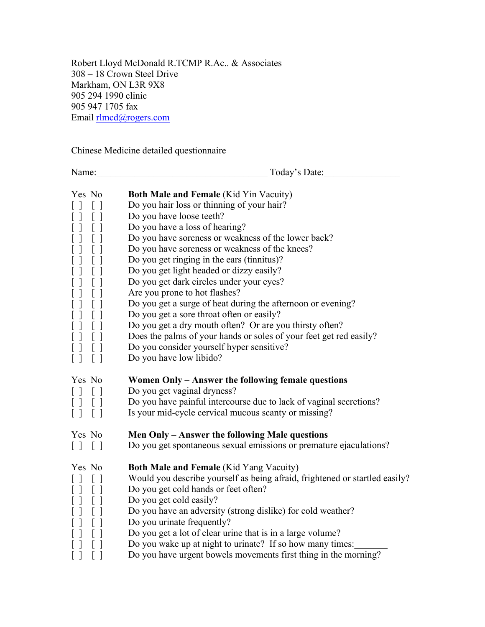Robert Lloyd McDonald R.TCMP R.Ac.. & Associates 308 – 18 Crown Steel Drive Markham, ON L3R 9X8 905 294 1990 clinic 905 947 1705 fax Email rlmcd@rogers.com

Chinese Medicine detailed questionnaire

| Name:                                                                                                                                                                                                                                                                                                                                                                                                                                                                                                | Today's Date:                                                                                                                                                                                                                                                                                                                                                                                                                                                                                                                                                                                                                                                                                                                       |
|------------------------------------------------------------------------------------------------------------------------------------------------------------------------------------------------------------------------------------------------------------------------------------------------------------------------------------------------------------------------------------------------------------------------------------------------------------------------------------------------------|-------------------------------------------------------------------------------------------------------------------------------------------------------------------------------------------------------------------------------------------------------------------------------------------------------------------------------------------------------------------------------------------------------------------------------------------------------------------------------------------------------------------------------------------------------------------------------------------------------------------------------------------------------------------------------------------------------------------------------------|
| Yes No<br>$\Box$<br>$\left[\begin{array}{c}1\end{array}\right]$<br>$[\ ]$<br>$\mathbf{I}$<br>$\mathsf{l}$<br>$\begin{bmatrix} 1 \end{bmatrix}$<br>$\begin{array}{c} \end{array}$<br>$[\ ]$<br>$\overline{\phantom{a}}$<br>$\overline{\phantom{a}}$<br>[<br>$\begin{array}{c} \end{array}$<br>[<br>$\begin{array}{c} \end{array}$<br>$[\ ]$<br>$\begin{array}{c} \end{array}$<br>$[\ ]$<br>$\begin{array}{c} \end{array}$<br>$[\ ]$<br>$\mathbf{I}$<br>[ ]<br>$\lceil$<br>$[\ ]$<br>$\mathbf{I}$<br>1 | <b>Both Male and Female (Kid Yin Vacuity)</b><br>Do you hair loss or thinning of your hair?<br>Do you have loose teeth?<br>Do you have a loss of hearing?<br>Do you have soreness or weakness of the lower back?<br>Do you have soreness or weakness of the knees?<br>Do you get ringing in the ears (tinnitus)?<br>Do you get light headed or dizzy easily?<br>Do you get dark circles under your eyes?<br>Are you prone to hot flashes?<br>Do you get a surge of heat during the afternoon or evening?<br>Do you get a sore throat often or easily?<br>Do you get a dry mouth often? Or are you thirsty often?<br>Does the palms of your hands or soles of your feet get red easily?<br>Do you consider yourself hyper sensitive? |
| $\overline{\phantom{a}}$<br>$\begin{bmatrix} 1 \end{bmatrix}$                                                                                                                                                                                                                                                                                                                                                                                                                                        | Do you have low libido?                                                                                                                                                                                                                                                                                                                                                                                                                                                                                                                                                                                                                                                                                                             |
| Yes No<br>$\begin{array}{c} \square \end{array}$<br>$[\ ]$<br>$[\ ]$<br>$[\ ]$<br>$\lceil$<br>$[\ ]$                                                                                                                                                                                                                                                                                                                                                                                                 | Women Only - Answer the following female questions<br>Do you get vaginal dryness?<br>Do you have painful intercourse due to lack of vaginal secretions?<br>Is your mid-cycle cervical mucous scanty or missing?                                                                                                                                                                                                                                                                                                                                                                                                                                                                                                                     |
| Yes No                                                                                                                                                                                                                                                                                                                                                                                                                                                                                               | Men Only - Answer the following Male questions                                                                                                                                                                                                                                                                                                                                                                                                                                                                                                                                                                                                                                                                                      |
| $\begin{bmatrix} 1 & 1 \end{bmatrix}$                                                                                                                                                                                                                                                                                                                                                                                                                                                                | Do you get spontaneous sexual emissions or premature ejaculations?                                                                                                                                                                                                                                                                                                                                                                                                                                                                                                                                                                                                                                                                  |
| Yes No<br>$\mathbf{1}$<br>$\left[ \begin{array}{c} \end{array} \right]$<br>$\mathcal{I}$<br>$[ \ ]$<br>$\begin{array}{c} \end{array}$<br>U<br>$\lceil$<br>L                                                                                                                                                                                                                                                                                                                                          | <b>Both Male and Female (Kid Yang Vacuity)</b><br>Would you describe yourself as being afraid, frightened or startled easily?<br>Do you get cold hands or feet often?<br>Do you get cold easily?<br>Do you have an adversity (strong dislike) for cold weather?<br>Do you urinate frequently?<br>Do you get a lot of clear urine that is in a large volume?                                                                                                                                                                                                                                                                                                                                                                         |
| $\lceil$<br>L<br>$[\ ]$<br>$[\ ]$                                                                                                                                                                                                                                                                                                                                                                                                                                                                    | Do you wake up at night to urinate? If so how many times:<br>Do you have urgent bowels movements first thing in the morning?                                                                                                                                                                                                                                                                                                                                                                                                                                                                                                                                                                                                        |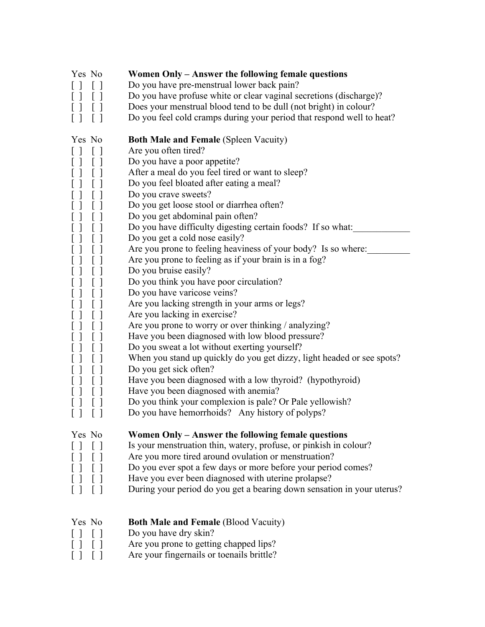| Yes No<br>$\left[ \right]$<br>$\Box$<br>$\Box$<br>$[\ ]$<br>$\begin{bmatrix} \end{bmatrix}$<br>$\Box$<br>$\Box$<br>$\Box$                                                                                                                                                                                                                                                                    | Women Only – Answer the following female questions<br>Do you have pre-menstrual lower back pain?<br>Do you have profuse white or clear vaginal secretions (discharge)?<br>Does your menstrual blood tend to be dull (not bright) in colour?<br>Do you feel cold cramps during your period that respond well to heat?                                                                                                                                                                                                                                                                                                                                                                                                                                                                                                                                                                                                                                                                                                                                         |
|----------------------------------------------------------------------------------------------------------------------------------------------------------------------------------------------------------------------------------------------------------------------------------------------------------------------------------------------------------------------------------------------|--------------------------------------------------------------------------------------------------------------------------------------------------------------------------------------------------------------------------------------------------------------------------------------------------------------------------------------------------------------------------------------------------------------------------------------------------------------------------------------------------------------------------------------------------------------------------------------------------------------------------------------------------------------------------------------------------------------------------------------------------------------------------------------------------------------------------------------------------------------------------------------------------------------------------------------------------------------------------------------------------------------------------------------------------------------|
| Yes No<br>$\lfloor \ \rfloor$<br>$[\ ]$<br>$\perp$<br>$[\ ]$<br>$\perp$<br>$\perp$<br>$\perp$<br>$\Box$<br>$\begin{bmatrix} 1 \end{bmatrix}$<br>$\Box$<br>$[\ ]$<br>  1<br>$\begin{bmatrix} 1 \end{bmatrix}$<br>$\perp$<br>$\lceil$ $\rceil$<br>$\Box$<br>$\Box$<br>l J<br>$\perp$<br>$\perp$<br>$\lfloor \ \rfloor$<br>$\perp$<br>$\begin{bmatrix} 1 \end{bmatrix}$<br>$\Box$<br>$\lceil$ 1 | <b>Both Male and Female (Spleen Vacuity)</b><br>Are you often tired?<br>Do you have a poor appetite?<br>After a meal do you feel tired or want to sleep?<br>Do you feel bloated after eating a meal?<br>Do you crave sweets?<br>Do you get loose stool or diarrhea often?<br>Do you get abdominal pain often?<br>Do you have difficulty digesting certain foods? If so what:<br>Do you get a cold nose easily?<br>Are you prone to feeling heaviness of your body? Is so where:<br>Are you prone to feeling as if your brain is in a fog?<br>Do you bruise easily?<br>Do you think you have poor circulation?<br>Do you have varicose veins?<br>Are you lacking strength in your arms or legs?<br>Are you lacking in exercise?<br>Are you prone to worry or over thinking / analyzing?<br>Have you been diagnosed with low blood pressure?<br>Do you sweat a lot without exerting yourself?<br>When you stand up quickly do you get dizzy, light headed or see spots?<br>Do you get sick often?<br>Have you been diagnosed with a low thyroid? (hypothyroid) |
| $\perp$<br>U<br>$\left[\begin{array}{c}1\end{array}\right]$<br>$[ \ ]$                                                                                                                                                                                                                                                                                                                       | Have you been diagnosed with anemia?<br>Do you think your complexion is pale? Or Pale yellowish?<br>Do you have hemorrhoids? Any history of polyps?                                                                                                                                                                                                                                                                                                                                                                                                                                                                                                                                                                                                                                                                                                                                                                                                                                                                                                          |
| Yes No                                                                                                                                                                                                                                                                                                                                                                                       | Women Only – Answer the following female questions<br>Is your menstruation thin, watery, profuse, or pinkish in colour?<br>Are you more tired around ovulation or menstruation?<br>Do you ever spot a few days or more before your period comes?<br>Have you ever been diagnosed with uterine prolapse?<br>During your period do you get a bearing down sensation in your uterus?                                                                                                                                                                                                                                                                                                                                                                                                                                                                                                                                                                                                                                                                            |
| Yes No                                                                                                                                                                                                                                                                                                                                                                                       | <b>Both Male and Female (Blood Vacuity)</b><br>Do you have dry skin?<br>Are you prone to getting chapped lips?<br>Are your fingernails or toenails brittle?                                                                                                                                                                                                                                                                                                                                                                                                                                                                                                                                                                                                                                                                                                                                                                                                                                                                                                  |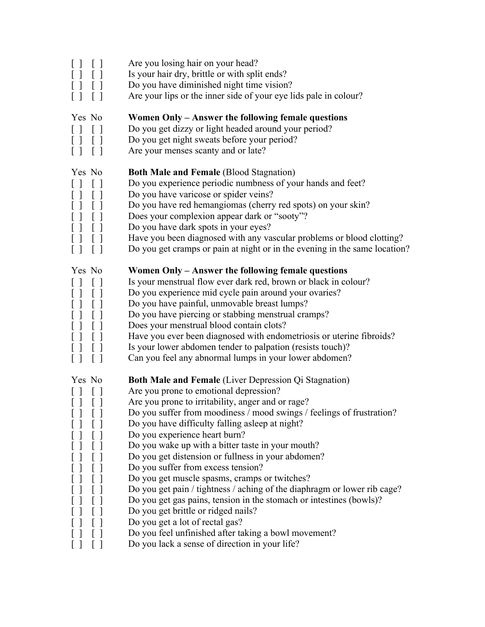| $\Box$<br>$[\ ]$<br>$[\ ]$<br>$\left[ \begin{array}{c} \end{array} \right]$<br>$\begin{bmatrix} 1 \end{bmatrix}$                                                                                                                                                                                                                                                                                                                                                                                                                                                                                                                                      | Are you losing hair on your head?<br>Is your hair dry, brittle or with split ends?<br>Do you have diminished night time vision?<br>Are your lips or the inner side of your eye lids pale in colour?                                                                                                                                                                                                                                                                                                                                                                                                                                                                                                                                                                                                                                                               |
|-------------------------------------------------------------------------------------------------------------------------------------------------------------------------------------------------------------------------------------------------------------------------------------------------------------------------------------------------------------------------------------------------------------------------------------------------------------------------------------------------------------------------------------------------------------------------------------------------------------------------------------------------------|-------------------------------------------------------------------------------------------------------------------------------------------------------------------------------------------------------------------------------------------------------------------------------------------------------------------------------------------------------------------------------------------------------------------------------------------------------------------------------------------------------------------------------------------------------------------------------------------------------------------------------------------------------------------------------------------------------------------------------------------------------------------------------------------------------------------------------------------------------------------|
| Yes No<br>$[\ ]\ \ [\ ]$<br>$\begin{bmatrix} 1 & 1 \end{bmatrix}$<br>$\Box$<br>$\Box$                                                                                                                                                                                                                                                                                                                                                                                                                                                                                                                                                                 | Women Only – Answer the following female questions<br>Do you get dizzy or light headed around your period?<br>Do you get night sweats before your period?<br>Are your menses scanty and or late?                                                                                                                                                                                                                                                                                                                                                                                                                                                                                                                                                                                                                                                                  |
| Yes No<br>$\begin{bmatrix} 1 & 1 \\ 1 & 1 \end{bmatrix}$<br>l I<br>$[\ ]\ \ [\ ]$<br>$\Box$<br>$\begin{bmatrix} 1 \end{bmatrix}$<br>$[ \ ]$<br>$\begin{bmatrix} 1 \end{bmatrix}$<br>$\lceil$ $\rceil$<br>$\Box$                                                                                                                                                                                                                                                                                                                                                                                                                                       | <b>Both Male and Female (Blood Stagnation)</b><br>Do you experience periodic numbness of your hands and feet?<br>Do you have varicose or spider veins?<br>Do you have red hemangiomas (cherry red spots) on your skin?<br>Does your complexion appear dark or "sooty"?<br>Do you have dark spots in your eyes?<br>Have you been diagnosed with any vascular problems or blood clotting?<br>Do you get cramps or pain at night or in the evening in the same location?                                                                                                                                                                                                                                                                                                                                                                                             |
| Yes No<br>$\lceil$ 1<br>$[\ ]$<br>$\begin{bmatrix} 1 \end{bmatrix}$<br>$\lceil$ 1<br>$\lceil$ 1<br>$\begin{bmatrix} 1 \end{bmatrix}$<br>$[ \ ] \ [ \ ]$<br>$\lceil$ 1<br>$\lceil$ $\rceil$                                                                                                                                                                                                                                                                                                                                                                                                                                                            | Women Only – Answer the following female questions<br>Is your menstrual flow ever dark red, brown or black in colour?<br>Do you experience mid cycle pain around your ovaries?<br>Do you have painful, unmovable breast lumps?<br>Do you have piercing or stabbing menstrual cramps?<br>Does your menstrual blood contain clots?<br>Have you ever been diagnosed with endometriosis or uterine fibroids?<br>Is your lower abdomen tender to palpation (resists touch)?<br>Can you feel any abnormal lumps in your lower abdomen?                                                                                                                                                                                                                                                                                                                                  |
| Yes No<br>$\begin{array}{c} \fbox{)} \quad \quad \textcolor{blue}{\mathstrut} \quad \quad \textcolor{blue}{\mathstrut} \quad \quad \textcolor{blue}{\mathstrut} \quad \quad \textcolor{blue}{\mathstrut} \quad \quad \textcolor{blue}{\mathstrut} \quad \quad \textcolor{blue}{\mathstrut} \quad \quad \textcolor{blue}{\mathstrut} \quad \quad \textcolor{blue}{\mathstrut} \quad \quad \textcolor{blue}{\mathstrut} \quad \quad \textcolor{blue}{\mathstrut} \quad \quad \textcolor{blue}{\mathstrut} \quad \quad \textcolor{blue}{\mathstrut} \quad \quad \textcolor{blue}{\mathstrut} \quad \quad \textcolor{blue}{\mathstr$<br>$[ \ ]$<br>$\Box$ | <b>Both Male and Female</b> (Liver Depression Qi Stagnation)<br>Are you prone to emotional depression?<br>Are you prone to irritability, anger and or rage?<br>Do you suffer from moodiness / mood swings / feelings of frustration?<br>Do you have difficulty falling asleep at night?<br>Do you experience heart burn?<br>Do you wake up with a bitter taste in your mouth?<br>Do you get distension or fullness in your abdomen?<br>Do you suffer from excess tension?<br>Do you get muscle spasms, cramps or twitches?<br>Do you get pain / tightness / aching of the diaphragm or lower rib cage?<br>Do you get gas pains, tension in the stomach or intestines (bowls)?<br>Do you get brittle or ridged nails?<br>Do you get a lot of rectal gas?<br>Do you feel unfinished after taking a bowl movement?<br>Do you lack a sense of direction in your life? |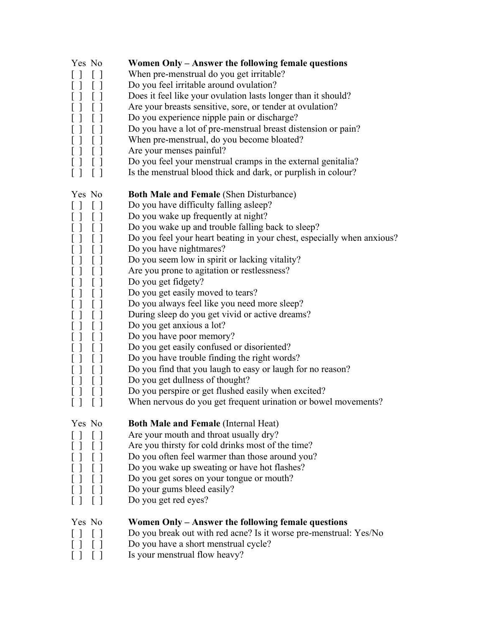| Yes No                                                                             | Women Only - Answer the following female questions                     |
|------------------------------------------------------------------------------------|------------------------------------------------------------------------|
| $\Box$<br>ιı                                                                       | When pre-menstrual do you get irritable?                               |
|                                                                                    | Do you feel irritable around ovulation?                                |
|                                                                                    | Does it feel like your ovulation lasts longer than it should?          |
| $\begin{bmatrix} 1 \end{bmatrix}$                                                  | Are your breasts sensitive, sore, or tender at ovulation?              |
| $[\ ]$                                                                             | Do you experience nipple pain or discharge?                            |
|                                                                                    | Do you have a lot of pre-menstrual breast distension or pain?          |
| $\begin{bmatrix} 1 \end{bmatrix}$<br>$\lfloor$ ]                                   | When pre-menstrual, do you become bloated?                             |
| $[\ ]$<br>$\lceil$ 1                                                               | Are your menses painful?                                               |
|                                                                                    | Do you feel your menstrual cramps in the external genitalia?           |
| $\begin{bmatrix} 1 \end{bmatrix}$<br>$\left[ \begin{array}{c} \end{array} \right]$ | Is the menstrual blood thick and dark, or purplish in colour?          |
| Yes No                                                                             | <b>Both Male and Female (Shen Disturbance)</b>                         |
| LΙ                                                                                 | Do you have difficulty falling asleep?                                 |
| U<br>ιI                                                                            | Do you wake up frequently at night?                                    |
| $[\ ]$                                                                             | Do you wake up and trouble falling back to sleep?                      |
|                                                                                    | Do you feel your heart beating in your chest, especially when anxious? |
|                                                                                    | Do you have nightmares?                                                |
| $\Box$                                                                             | Do you seem low in spirit or lacking vitality?                         |
| $[\ ]$                                                                             | Are you prone to agitation or restlessness?                            |
|                                                                                    | Do you get fidgety?                                                    |
| []<br>$\begin{bmatrix} 1 \end{bmatrix}$                                            | Do you get easily moved to tears?                                      |
| $[\ ]$                                                                             | Do you always feel like you need more sleep?                           |
|                                                                                    | During sleep do you get vivid or active dreams?                        |
|                                                                                    |                                                                        |
| $[\ ]$                                                                             | Do you get anxious a lot?                                              |
|                                                                                    | Do you have poor memory?                                               |
|                                                                                    | Do you get easily confused or disoriented?                             |
|                                                                                    | Do you have trouble finding the right words?                           |
|                                                                                    | Do you find that you laugh to easy or laugh for no reason?             |
|                                                                                    | Do you get dullness of thought?                                        |
|                                                                                    | Do you perspire or get flushed easily when excited?                    |
| $\lfloor$ $\rfloor$                                                                | When nervous do you get frequent urination or bowel movements?         |
| Yes No                                                                             | <b>Both Male and Female (Internal Heat)</b>                            |
|                                                                                    | Are your mouth and throat usually dry?                                 |
|                                                                                    | Are you thirsty for cold drinks most of the time?                      |
|                                                                                    | Do you often feel warmer than those around you?                        |
|                                                                                    | Do you wake up sweating or have hot flashes?                           |
|                                                                                    | Do you get sores on your tongue or mouth?                              |
|                                                                                    | Do your gums bleed easily?                                             |
|                                                                                    | Do you get red eyes?                                                   |
|                                                                                    |                                                                        |
| Yes No                                                                             | Women Only – Answer the following female questions                     |
|                                                                                    | Do you break out with red acne? Is it worse pre-menstrual: Yes/No      |
|                                                                                    | Do you have a short menstrual cycle?                                   |
|                                                                                    | Is your menstrual flow heavy?                                          |
|                                                                                    |                                                                        |